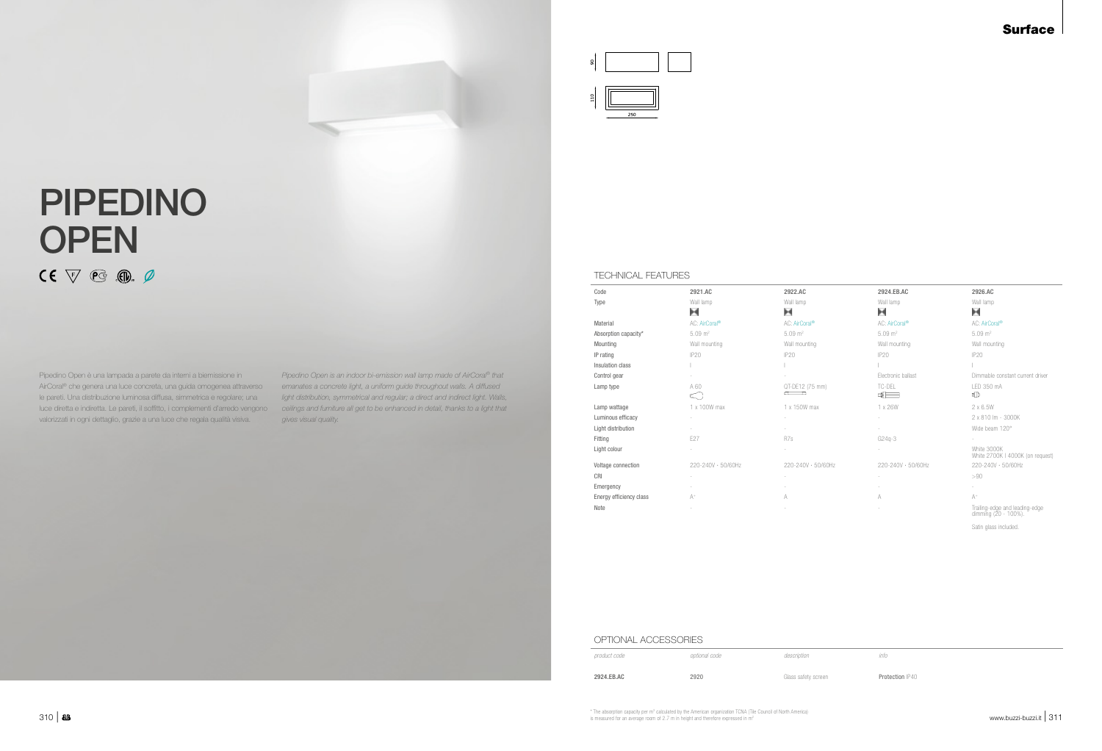## Surface

## ×

- 
- 
- 



# PIPEDINO **OPEN**  $CE \nabla$  eg o  $\phi$

Pipedino Open è una lampada a parete da interni a biemissione in AirCoral® che genera una luce concreta, una guida omogenea attraverso le pareti. Una distribuzione luminosa diffusa, simmetrica e regolare; una luce diretta e indiretta. Le pareti, il soffitto, i complementi d'arredo vengono valorizzati in ogni dettaglio, grazie a una luce che regala qualità visiva.

*Pipedino Open is an indoor bi-emission wall lamp made of AirCoral® that emanates a concrete light, a uniform guide throughout walls. A diffused light distribution, symmetrical and regular; a direct and indirect light. Walls, ceilings and furniture all get to be enhanced in detail, thanks to a light that gives visual quality.*

## TECHNICAL FEATURES

| Code                    | 2921.AC            | 2922.AC                   | 2924.EB.AC                | 2926.AC                                                |
|-------------------------|--------------------|---------------------------|---------------------------|--------------------------------------------------------|
| Type                    | Wall lamp          | Wall lamp                 | Wall lamp                 | Wall lamp                                              |
|                         | Ħ                  | ×                         | Ħ                         | н                                                      |
| Material                | AC: AirCoral®      | AC: AirCoral <sup>®</sup> | AC: AirCoral <sup>®</sup> | AC: AirCoral <sup>®</sup>                              |
| Absorption capacity*    | $5.09 \text{ m}^2$ | $5.09 \text{ m}^2$        | $5.09 \text{ m}^2$        | $5.09 \text{ m}^2$                                     |
| Mounting                | Wall mounting      | Wall mounting             | Wall mounting             | Wall mounting                                          |
| IP rating               | <b>IP20</b>        | <b>IP20</b>               | <b>IP20</b>               | <b>IP20</b>                                            |
| Insulation class        |                    |                           |                           |                                                        |
| Control gear            |                    |                           | Electronic ballast        | Dimmable constant current driv                         |
| Lamp type               | A 60<br>⊂          | QT-DE12 (75 mm)<br>a a    | TC-DEL<br>ਥੋ⊟             | LED 350 mA<br>‡D                                       |
| Lamp wattage            | 1 x 100W max       | 1 x 150W max              | 1 x 26W                   | $2 \times 6.5W$                                        |
| Luminous efficacy       |                    |                           |                           | 2 x 810 lm - 3000K                                     |
| Light distribution      |                    |                           | $\sim$                    | Wide beam 120°                                         |
| Fitting                 | E27                | R7s                       | $G24q-3$                  |                                                        |
| Light colour            |                    |                           |                           | White 3000K<br>White 2700K   4000K (on requ            |
| Voltage connection      | 220-240V · 50/60Hz | 220-240V · 50/60Hz        | 220-240V · 50/60Hz        | 220-240V · 50/60Hz                                     |
| CRI                     |                    |                           |                           | >90                                                    |
| Emergency               |                    | $\sim$                    |                           |                                                        |
| Energy efficiency class | $A^+$              | A                         | A                         | $A^+$                                                  |
| Note                    |                    |                           |                           | Trailing-edge and leading-edge<br>dimming (20 - 100%). |

Satin glass included.

Protection IP40

### OPTIONAL ACCESSORIES

| product code | optional code | description         | info |
|--------------|---------------|---------------------|------|
| 2924.EB.AC   | 2920          | Glass safety screen | Pro  |